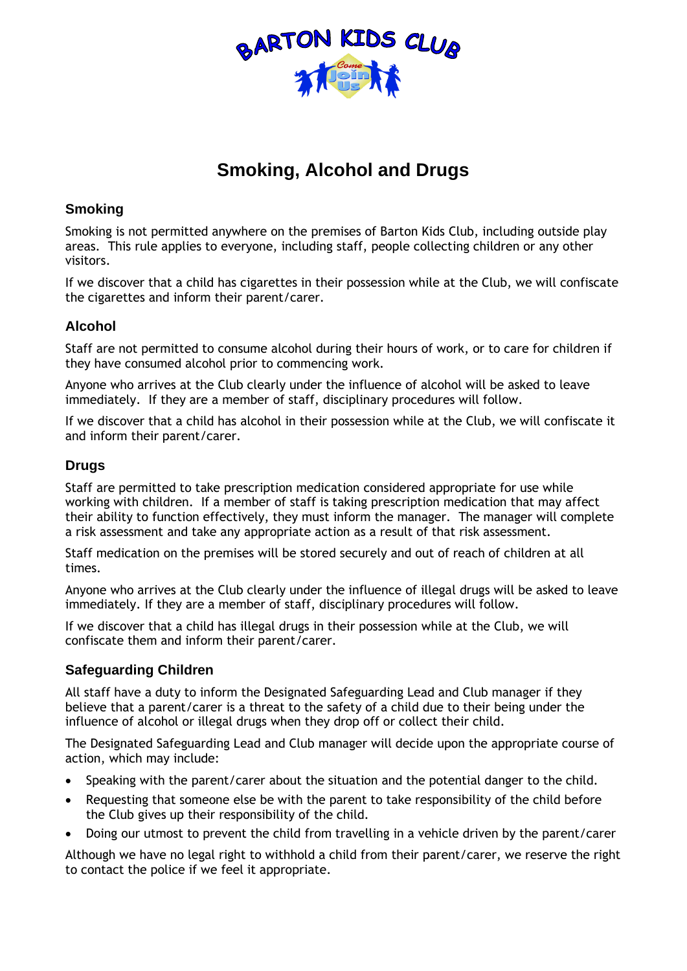

# **Smoking, Alcohol and Drugs**

### **Smoking**

Smoking is not permitted anywhere on the premises of Barton Kids Club, including outside play areas. This rule applies to everyone, including staff, people collecting children or any other visitors.

If we discover that a child has cigarettes in their possession while at the Club, we will confiscate the cigarettes and inform their parent/carer.

### **Alcohol**

Staff are not permitted to consume alcohol during their hours of work, or to care for children if they have consumed alcohol prior to commencing work.

Anyone who arrives at the Club clearly under the influence of alcohol will be asked to leave immediately. If they are a member of staff, disciplinary procedures will follow.

If we discover that a child has alcohol in their possession while at the Club, we will confiscate it and inform their parent/carer.

#### **Drugs**

Staff are permitted to take prescription medication considered appropriate for use while working with children. If a member of staff is taking prescription medication that may affect their ability to function effectively, they must inform the manager. The manager will complete a risk assessment and take any appropriate action as a result of that risk assessment.

Staff medication on the premises will be stored securely and out of reach of children at all times.

Anyone who arrives at the Club clearly under the influence of illegal drugs will be asked to leave immediately. If they are a member of staff, disciplinary procedures will follow.

If we discover that a child has illegal drugs in their possession while at the Club, we will confiscate them and inform their parent/carer.

## **Safeguarding Children**

All staff have a duty to inform the Designated Safeguarding Lead and Club manager if they believe that a parent/carer is a threat to the safety of a child due to their being under the influence of alcohol or illegal drugs when they drop off or collect their child.

The Designated Safeguarding Lead and Club manager will decide upon the appropriate course of action, which may include:

- Speaking with the parent/carer about the situation and the potential danger to the child.
- Requesting that someone else be with the parent to take responsibility of the child before the Club gives up their responsibility of the child.
- Doing our utmost to prevent the child from travelling in a vehicle driven by the parent/carer

Although we have no legal right to withhold a child from their parent/carer, we reserve the right to contact the police if we feel it appropriate.